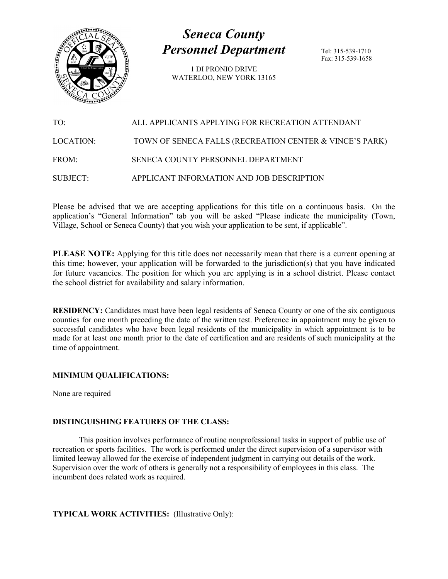

# *Seneca County Personnel Department*

1 DI PRONIO DRIVE WATERLOO, NEW YORK 13165 Tel: 315-539-1710 Fax: 315-539-1658

TO: ALL APPLICANTS APPLYING FOR RECREATION ATTENDANT LOCATION: TOWN OF SENECA FALLS (RECREATION CENTER & VINCE'S PARK) FROM: SENECA COUNTY PERSONNEL DEPARTMENT SUBJECT: APPLICANT INFORMATION AND JOB DESCRIPTION

Please be advised that we are accepting applications for this title on a continuous basis. On the application's "General Information" tab you will be asked "Please indicate the municipality (Town, Village, School or Seneca County) that you wish your application to be sent, if applicable".

**PLEASE NOTE:** Applying for this title does not necessarily mean that there is a current opening at this time; however, your application will be forwarded to the jurisdiction(s) that you have indicated for future vacancies. The position for which you are applying is in a school district. Please contact the school district for availability and salary information.

**RESIDENCY:** Candidates must have been legal residents of Seneca County or one of the six contiguous counties for one month preceding the date of the written test. Preference in appointment may be given to successful candidates who have been legal residents of the municipality in which appointment is to be made for at least one month prior to the date of certification and are residents of such municipality at the time of appointment.

### **MINIMUM QUALIFICATIONS:**

None are required

## **DISTINGUISHING FEATURES OF THE CLASS:**

This position involves performance of routine nonprofessional tasks in support of public use of recreation or sports facilities. The work is performed under the direct supervision of a supervisor with limited leeway allowed for the exercise of independent judgment in carrying out details of the work. Supervision over the work of others is generally not a responsibility of employees in this class. The incumbent does related work as required.

### **TYPICAL WORK ACTIVITIES:** (Illustrative Only):